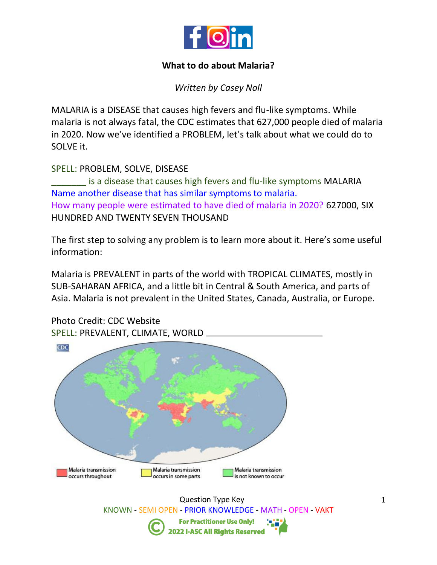

## **What to do about Malaria?**

*Written by Casey Noll*

MALARIA is a DISEASE that causes high fevers and flu-like symptoms. While malaria is not always fatal, the CDC estimates that 627,000 people died of malaria in 2020. Now we've identified a PROBLEM, let's talk about what we could do to SOLVE it.

SPELL: PROBLEM, SOLVE, DISEASE

is a disease that causes high fevers and flu-like symptoms MALARIA Name another disease that has similar symptoms to malaria. How many people were estimated to have died of malaria in 2020? 627000, SIX HUNDRED AND TWENTY SEVEN THOUSAND

The first step to solving any problem is to learn more about it. Here's some useful information:

Malaria is PREVALENT in parts of the world with TROPICAL CLIMATES, mostly in SUB-SAHARAN AFRICA, and a little bit in Central & South America, and parts of Asia. Malaria is not prevalent in the United States, Canada, Australia, or Europe.



Question Type Key KNOWN - SEMI OPEN - PRIOR KNOWLEDGE - MATH - OPEN - VAKT **For Practitioner Use Only! 2022 I-ASC All Rights Reserved** 

Photo Credit: CDC Website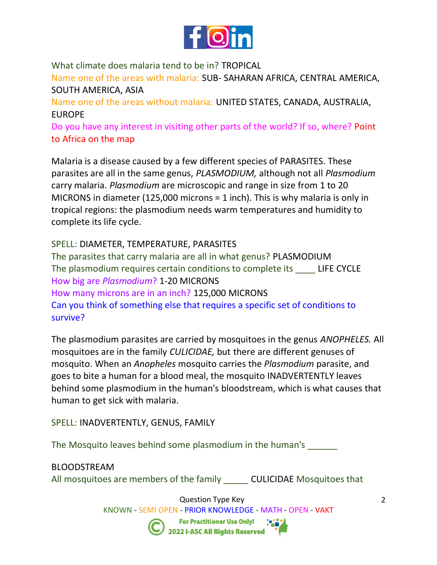

What climate does malaria tend to be in? TROPICAL

Name one of the areas with malaria: SUB- SAHARAN AFRICA, CENTRAL AMERICA, SOUTH AMERICA, ASIA

Name one of the areas without malaria: UNITED STATES, CANADA, AUSTRALIA, EUROPE

Do you have any interest in visiting other parts of the world? If so, where? Point to Africa on the map

Malaria is a disease caused by a few different species of PARASITES. These parasites are all in the same genus, *PLASMODIUM,* although not all *Plasmodium*  carry malaria. *Plasmodium* are microscopic and range in size from 1 to 20 MICRONS in diameter (125,000 microns = 1 inch). This is why malaria is only in tropical regions: the plasmodium needs warm temperatures and humidity to complete its life cycle.

SPELL: DIAMETER, TEMPERATURE, PARASITES The parasites that carry malaria are all in what genus? PLASMODIUM The plasmodium requires certain conditions to complete its \_\_\_\_ LIFE CYCLE How big are *Plasmodium*? 1-20 MICRONS How many microns are in an inch? 125,000 MICRONS Can you think of something else that requires a specific set of conditions to survive?

The plasmodium parasites are carried by mosquitoes in the genus *ANOPHELES.* All mosquitoes are in the family *CULICIDAE,* but there are different genuses of mosquito. When an *Anopheles* mosquito carries the *Plasmodium* parasite, and goes to bite a human for a blood meal, the mosquito INADVERTENTLY leaves behind some plasmodium in the human's bloodstream, which is what causes that human to get sick with malaria.

SPELL: INADVERTENTLY, GENUS, FAMILY

The Mosquito leaves behind some plasmodium in the human's

# BLOODSTREAM

All mosquitoes are members of the family \_\_\_\_\_\_ CULICIDAE Mosquitoes that

Question Type Key

KNOWN - SEMI OPEN - PRIOR KNOWLEDGE - MATH - OPEN - VAKT **For Practitioner Use Only!** 

2022 I-ASC All Rights Reserved

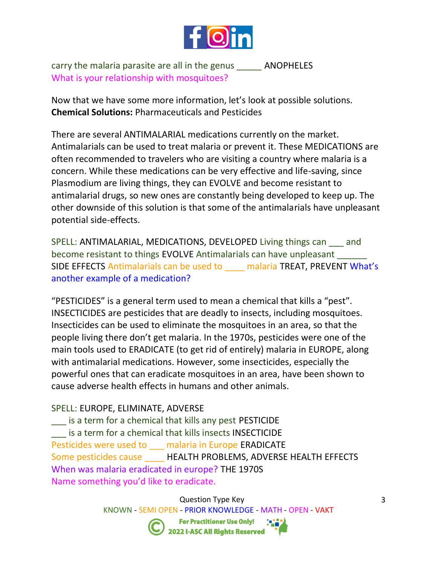

carry the malaria parasite are all in the genus \_\_\_\_\_ ANOPHELES What is your relationship with mosquitoes?

Now that we have some more information, let's look at possible solutions. **Chemical Solutions:** Pharmaceuticals and Pesticides

There are several ANTIMALARIAL medications currently on the market. Antimalarials can be used to treat malaria or prevent it. These MEDICATIONS are often recommended to travelers who are visiting a country where malaria is a concern. While these medications can be very effective and life-saving, since Plasmodium are living things, they can EVOLVE and become resistant to antimalarial drugs, so new ones are constantly being developed to keep up. The other downside of this solution is that some of the antimalarials have unpleasant potential side-effects.

SPELL: ANTIMALARIAL, MEDICATIONS, DEVELOPED Living things can and become resistant to things EVOLVE Antimalarials can have unpleasant \_\_\_\_\_\_ SIDE EFFECTS Antimalarials can be used to **malaria TREAT, PREVENT What's** another example of a medication?

"PESTICIDES" is a general term used to mean a chemical that kills a "pest". INSECTICIDES are pesticides that are deadly to insects, including mosquitoes. Insecticides can be used to eliminate the mosquitoes in an area, so that the people living there don't get malaria. In the 1970s, pesticides were one of the main tools used to ERADICATE (to get rid of entirely) malaria in EUROPE, along with antimalarial medications. However, some insecticides, especially the powerful ones that can eradicate mosquitoes in an area, have been shown to cause adverse health effects in humans and other animals.

### SPELL: EUROPE, ELIMINATE, ADVERSE

is a term for a chemical that kills any pest PESTICIDE \_\_\_ is a term for a chemical that kills insects INSECTICIDE Pesticides were used to \_\_\_ malaria in Europe ERADICATE Some pesticides cause \_\_\_\_\_ HEALTH PROBLEMS, ADVERSE HEALTH EFFECTS When was malaria eradicated in europe? THE 1970S Name something you'd like to eradicate.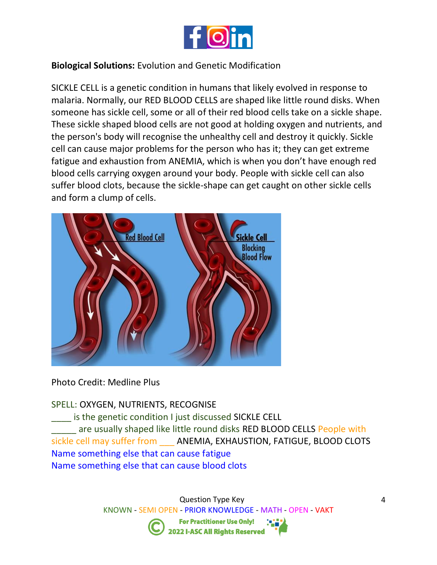

## **Biological Solutions:** Evolution and Genetic Modification

SICKLE CELL is a genetic condition in humans that likely evolved in response to malaria. Normally, our RED BLOOD CELLS are shaped like little round disks. When someone has sickle cell, some or all of their red blood cells take on a sickle shape. These sickle shaped blood cells are not good at holding oxygen and nutrients, and the person's body will recognise the unhealthy cell and destroy it quickly. Sickle cell can cause major problems for the person who has it; they can get extreme fatigue and exhaustion from ANEMIA, which is when you don't have enough red blood cells carrying oxygen around your body. People with sickle cell can also suffer blood clots, because the sickle-shape can get caught on other sickle cells and form a clump of cells.



Photo Credit: Medline Plus

### SPELL: OXYGEN, NUTRIENTS, RECOGNISE

is the genetic condition I just discussed SICKLE CELL are usually shaped like little round disks RED BLOOD CELLS People with sickle cell may suffer from \_\_\_ ANEMIA, EXHAUSTION, FATIGUE, BLOOD CLOTS Name something else that can cause fatigue Name something else that can cause blood clots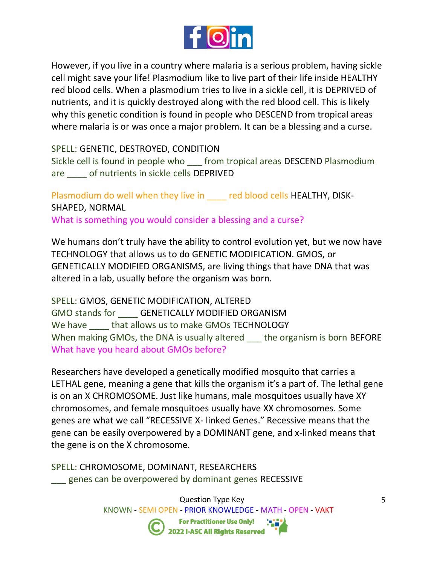

However, if you live in a country where malaria is a serious problem, having sickle cell might save your life! Plasmodium like to live part of their life inside HEALTHY red blood cells. When a plasmodium tries to live in a sickle cell, it is DEPRIVED of nutrients, and it is quickly destroyed along with the red blood cell. This is likely why this genetic condition is found in people who DESCEND from tropical areas where malaria is or was once a major problem. It can be a blessing and a curse.

SPELL: GENETIC, DESTROYED, CONDITION

Sickle cell is found in people who \_\_\_ from tropical areas DESCEND Plasmodium are \_\_\_\_ of nutrients in sickle cells DEPRIVED

Plasmodium do well when they live in \_\_\_\_ red blood cells HEALTHY, DISK-SHAPED, NORMAL

What is something you would consider a blessing and a curse?

We humans don't truly have the ability to control evolution yet, but we now have TECHNOLOGY that allows us to do GENETIC MODIFICATION. GMOS, or GENETICALLY MODIFIED ORGANISMS, are living things that have DNA that was altered in a lab, usually before the organism was born.

SPELL: GMOS, GENETIC MODIFICATION, ALTERED GMO stands for **GENETICALLY MODIFIED ORGANISM** We have **that allows us to make GMOs TECHNOLOGY** When making GMOs, the DNA is usually altered \_\_\_ the organism is born BEFORE What have you heard about GMOs before?

Researchers have developed a genetically modified mosquito that carries a LETHAL gene, meaning a gene that kills the organism it's a part of. The lethal gene is on an X CHROMOSOME. Just like humans, male mosquitoes usually have XY chromosomes, and female mosquitoes usually have XX chromosomes. Some genes are what we call "RECESSIVE X- linked Genes." Recessive means that the gene can be easily overpowered by a DOMINANT gene, and x-linked means that the gene is on the X chromosome.

SPELL: CHROMOSOME, DOMINANT, RESEARCHERS genes can be overpowered by dominant genes RECESSIVE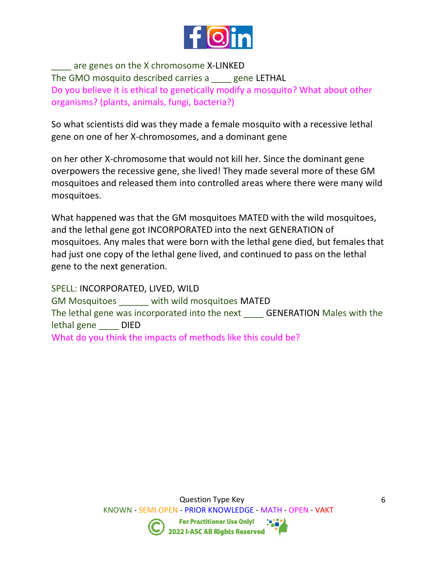

\_\_\_\_ are genes on the X chromosome X-LINKED The GMO mosquito described carries a \_\_\_\_ gene LETHAL Do you believe it is ethical to genetically modify a mosquito? What about other organisms? (plants, animals, fungi, bacteria?)

So what scientists did was they made a female mosquito with a recessive lethal gene on one of her X-chromosomes, and a dominant gene

on her other X-chromosome that would not kill her. Since the dominant gene overpowers the recessive gene, she lived! They made several more of these GM mosquitoes and released them into controlled areas where there were many wild mosquitoes.

What happened was that the GM mosquitoes MATED with the wild mosquitoes, and the lethal gene got INCORPORATED into the next GENERATION of mosquitoes. Any males that were born with the lethal gene died, but females that had just one copy of the lethal gene lived, and continued to pass on the lethal gene to the next generation.

SPELL: INCORPORATED, LIVED, WILD GM Mosquitoes \_\_\_\_\_\_ with wild mosquitoes MATED The lethal gene was incorporated into the next \_\_\_\_ GENERATION Males with the lethal gene \_\_\_\_ DIED What do you think the impacts of methods like this could be?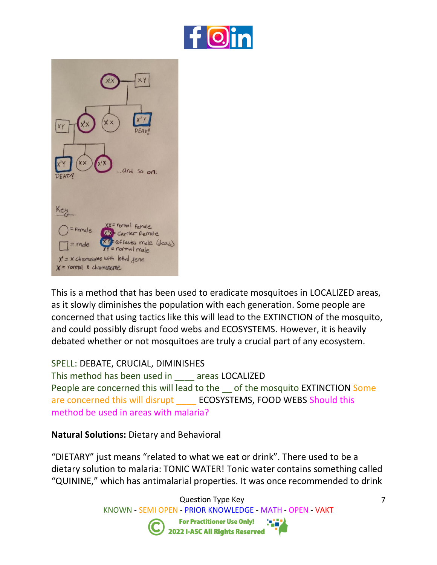



This is a method that has been used to eradicate mosquitoes in LOCALIZED areas, as it slowly diminishes the population with each generation. Some people are concerned that using tactics like this will lead to the EXTINCTION of the mosquito, and could possibly disrupt food webs and ECOSYSTEMS. However, it is heavily debated whether or not mosquitoes are truly a crucial part of any ecosystem.

#### SPELL: DEBATE, CRUCIAL, DIMINISHES

This method has been used in \_\_\_\_ areas LOCALIZED People are concerned this will lead to the \_\_ of the mosquito EXTINCTION Some are concerned this will disrupt **ECOSYSTEMS, FOOD WEBS Should this** method be used in areas with malaria?

### **Natural Solutions:** Dietary and Behavioral

"DIETARY" just means "related to what we eat or drink". There used to be a dietary solution to malaria: TONIC WATER! Tonic water contains something called "QUININE," which has antimalarial properties. It was once recommended to drink

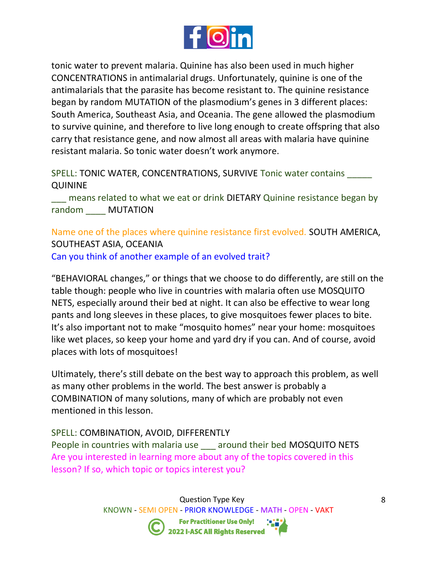

tonic water to prevent malaria. Quinine has also been used in much higher CONCENTRATIONS in antimalarial drugs. Unfortunately, quinine is one of the antimalarials that the parasite has become resistant to. The quinine resistance began by random MUTATION of the plasmodium's genes in 3 different places: South America, Southeast Asia, and Oceania. The gene allowed the plasmodium to survive quinine, and therefore to live long enough to create offspring that also carry that resistance gene, and now almost all areas with malaria have quinine resistant malaria. So tonic water doesn't work anymore.

SPELL: TONIC WATER, CONCENTRATIONS, SURVIVE Tonic water contains QUININE

means related to what we eat or drink DIETARY Quinine resistance began by random MUTATION

Name one of the places where quinine resistance first evolved. SOUTH AMERICA, SOUTHEAST ASIA, OCEANIA Can you think of another example of an evolved trait?

"BEHAVIORAL changes," or things that we choose to do differently, are still on the table though: people who live in countries with malaria often use MOSQUITO NETS, especially around their bed at night. It can also be effective to wear long pants and long sleeves in these places, to give mosquitoes fewer places to bite. It's also important not to make "mosquito homes" near your home: mosquitoes like wet places, so keep your home and yard dry if you can. And of course, avoid places with lots of mosquitoes!

Ultimately, there's still debate on the best way to approach this problem, as well as many other problems in the world. The best answer is probably a COMBINATION of many solutions, many of which are probably not even mentioned in this lesson.

### SPELL: COMBINATION, AVOID, DIFFERENTLY

People in countries with malaria use \_\_\_ around their bed MOSQUITO NETS Are you interested in learning more about any of the topics covered in this lesson? If so, which topic or topics interest you?